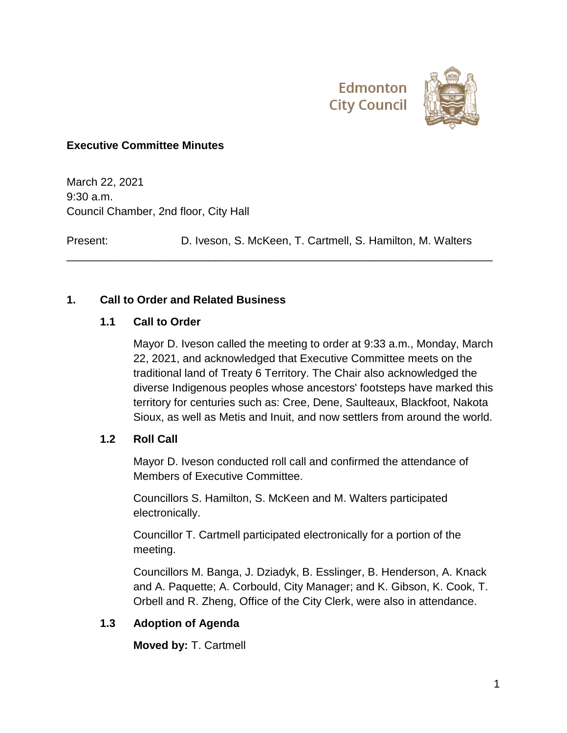



### **Executive Committee Minutes**

March 22, 2021 9:30 a.m. Council Chamber, 2nd floor, City Hall

Present: D. Iveson, S. McKeen, T. Cartmell, S. Hamilton, M. Walters

\_\_\_\_\_\_\_\_\_\_\_\_\_\_\_\_\_\_\_\_\_\_\_\_\_\_\_\_\_\_\_\_\_\_\_\_\_\_\_\_\_\_\_\_\_\_\_\_\_\_\_\_\_\_\_\_\_\_\_\_\_\_\_\_\_\_\_\_\_

### **1. Call to Order and Related Business**

#### **1.1 Call to Order**

Mayor D. Iveson called the meeting to order at 9:33 a.m., Monday, March 22, 2021, and acknowledged that Executive Committee meets on the traditional land of Treaty 6 Territory. The Chair also acknowledged the diverse Indigenous peoples whose ancestors' footsteps have marked this territory for centuries such as: Cree, Dene, Saulteaux, Blackfoot, Nakota Sioux, as well as Metis and Inuit, and now settlers from around the world.

#### **1.2 Roll Call**

Mayor D. Iveson conducted roll call and confirmed the attendance of Members of Executive Committee.

Councillors S. Hamilton, S. McKeen and M. Walters participated electronically.

Councillor T. Cartmell participated electronically for a portion of the meeting.

Councillors M. Banga, J. Dziadyk, B. Esslinger, B. Henderson, A. Knack and A. Paquette; A. Corbould, City Manager; and K. Gibson, K. Cook, T. Orbell and R. Zheng, Office of the City Clerk, were also in attendance.

### **1.3 Adoption of Agenda**

**Moved by:** T. Cartmell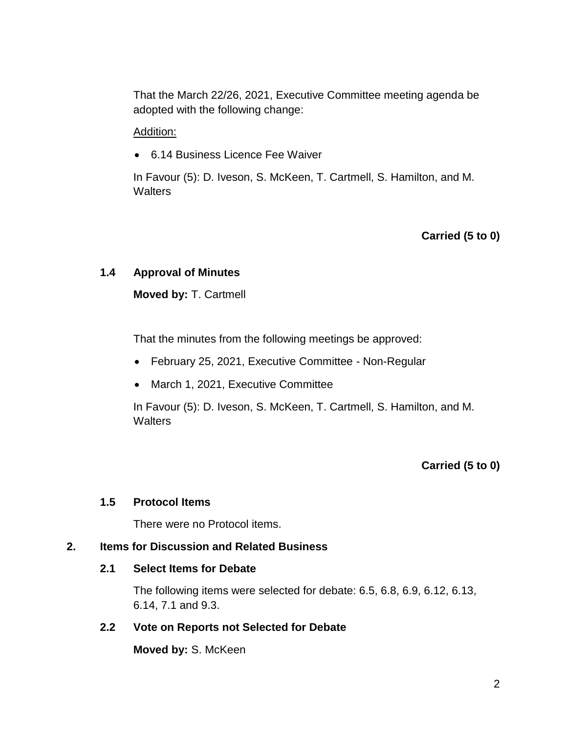That the March 22/26, 2021, Executive Committee meeting agenda be adopted with the following change:

#### Addition:

6.14 Business Licence Fee Waiver

In Favour (5): D. Iveson, S. McKeen, T. Cartmell, S. Hamilton, and M. **Walters** 

### **Carried (5 to 0)**

### **1.4 Approval of Minutes**

**Moved by:** T. Cartmell

That the minutes from the following meetings be approved:

- February 25, 2021, Executive Committee Non-Regular
- March 1, 2021, Executive Committee

In Favour (5): D. Iveson, S. McKeen, T. Cartmell, S. Hamilton, and M. **Walters** 

### **Carried (5 to 0)**

#### **1.5 Protocol Items**

There were no Protocol items.

#### **2. Items for Discussion and Related Business**

#### **2.1 Select Items for Debate**

The following items were selected for debate: 6.5, 6.8, 6.9, 6.12, 6.13, 6.14, 7.1 and 9.3.

#### **2.2 Vote on Reports not Selected for Debate**

**Moved by:** S. McKeen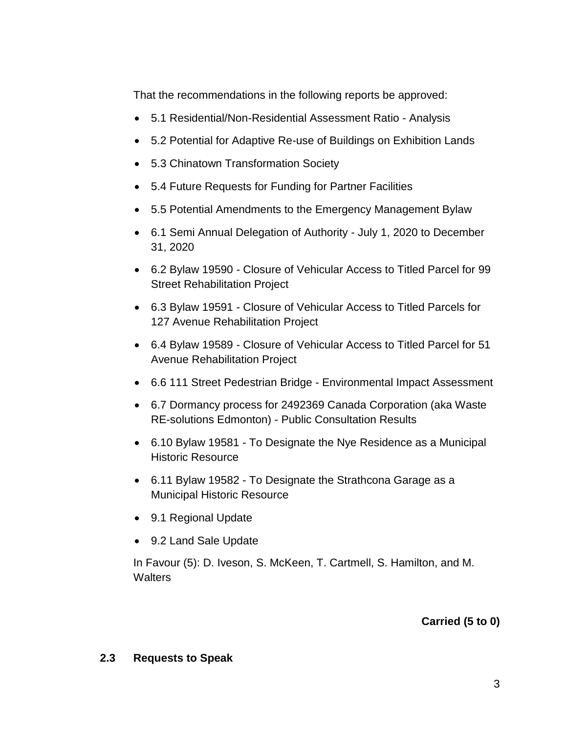That the recommendations in the following reports be approved:

- 5.1 Residential/Non-Residential Assessment Ratio Analysis
- 5.2 Potential for Adaptive Re-use of Buildings on Exhibition Lands
- 5.3 Chinatown Transformation Society
- 5.4 Future Requests for Funding for Partner Facilities
- 5.5 Potential Amendments to the Emergency Management Bylaw
- 6.1 Semi Annual Delegation of Authority July 1, 2020 to December 31, 2020
- 6.2 Bylaw 19590 Closure of Vehicular Access to Titled Parcel for 99 Street Rehabilitation Project
- 6.3 Bylaw 19591 Closure of Vehicular Access to Titled Parcels for 127 Avenue Rehabilitation Project
- 6.4 Bylaw 19589 Closure of Vehicular Access to Titled Parcel for 51 Avenue Rehabilitation Project
- 6.6 111 Street Pedestrian Bridge Environmental Impact Assessment
- 6.7 Dormancy process for 2492369 Canada Corporation (aka Waste RE-solutions Edmonton) - Public Consultation Results
- 6.10 Bylaw 19581 To Designate the Nye Residence as a Municipal Historic Resource
- 6.11 Bylaw 19582 To Designate the Strathcona Garage as a Municipal Historic Resource
- 9.1 Regional Update
- 9.2 Land Sale Update

In Favour (5): D. Iveson, S. McKeen, T. Cartmell, S. Hamilton, and M. **Walters** 

# **Carried (5 to 0)**

#### **2.3 Requests to Speak**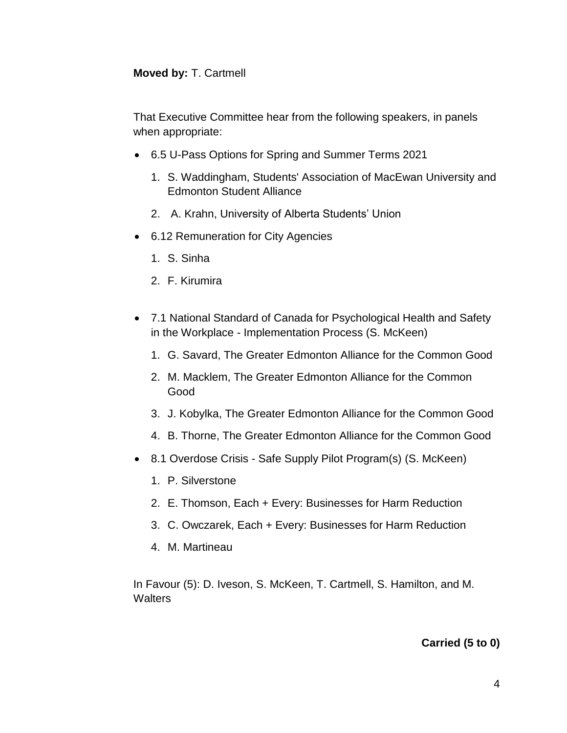#### **Moved by:** T. Cartmell

That Executive Committee hear from the following speakers, in panels when appropriate:

- 6.5 U-Pass Options for Spring and Summer Terms 2021
	- 1. S. Waddingham, Students' Association of MacEwan University and Edmonton Student Alliance
	- 2. A. Krahn, University of Alberta Students' Union
- 6.12 Remuneration for City Agencies
	- 1. S. Sinha
	- 2. F. Kirumira
- 7.1 National Standard of Canada for Psychological Health and Safety in the Workplace - Implementation Process (S. McKeen)
	- 1. G. Savard, The Greater Edmonton Alliance for the Common Good
	- 2. M. Macklem, The Greater Edmonton Alliance for the Common Good
	- 3. J. Kobylka, The Greater Edmonton Alliance for the Common Good
	- 4. B. Thorne, The Greater Edmonton Alliance for the Common Good
- 8.1 Overdose Crisis Safe Supply Pilot Program(s) (S. McKeen)
	- 1. P. Silverstone
	- 2. E. Thomson, Each + Every: Businesses for Harm Reduction
	- 3. C. Owczarek, Each + Every: Businesses for Harm Reduction
	- 4. M. Martineau

In Favour (5): D. Iveson, S. McKeen, T. Cartmell, S. Hamilton, and M. **Walters** 

### **Carried (5 to 0)**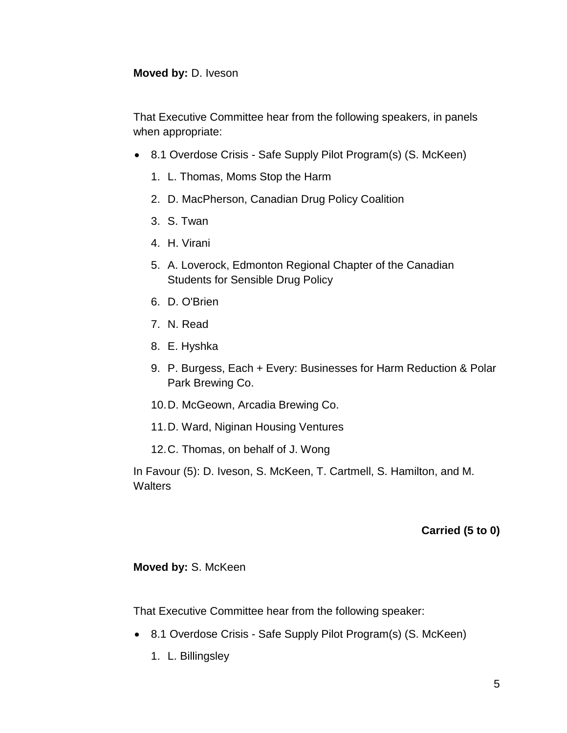#### **Moved by:** D. Iveson

That Executive Committee hear from the following speakers, in panels when appropriate:

- 8.1 Overdose Crisis Safe Supply Pilot Program(s) (S. McKeen)
	- 1. L. Thomas, Moms Stop the Harm
	- 2. D. MacPherson, Canadian Drug Policy Coalition
	- 3. S. Twan
	- 4. H. Virani
	- 5. A. Loverock, Edmonton Regional Chapter of the Canadian Students for Sensible Drug Policy
	- 6. D. O'Brien
	- 7. N. Read
	- 8. E. Hyshka
	- 9. P. Burgess, Each + Every: Businesses for Harm Reduction & Polar Park Brewing Co.
	- 10.D. McGeown, Arcadia Brewing Co.
	- 11.D. Ward, Niginan Housing Ventures
	- 12.C. Thomas, on behalf of J. Wong

In Favour (5): D. Iveson, S. McKeen, T. Cartmell, S. Hamilton, and M. **Walters** 

### **Carried (5 to 0)**

#### **Moved by:** S. McKeen

That Executive Committee hear from the following speaker:

- 8.1 Overdose Crisis Safe Supply Pilot Program(s) (S. McKeen)
	- 1. L. Billingsley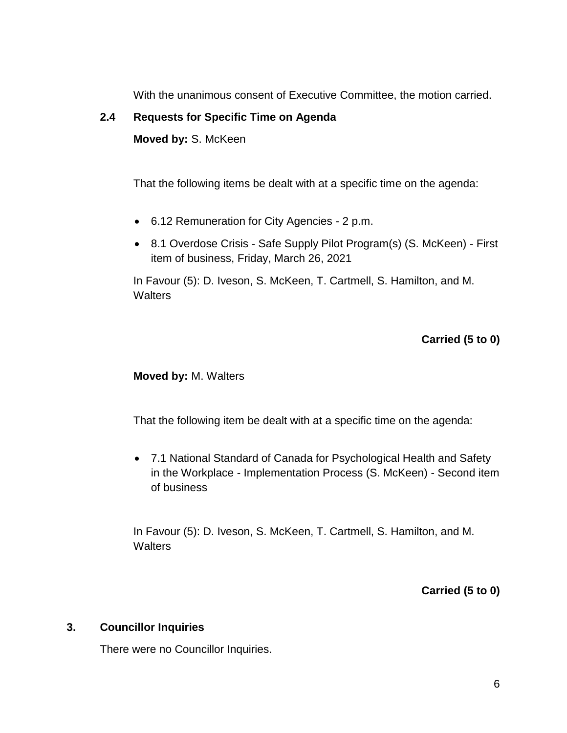With the unanimous consent of Executive Committee, the motion carried.

## **2.4 Requests for Specific Time on Agenda**

**Moved by:** S. McKeen

That the following items be dealt with at a specific time on the agenda:

- 6.12 Remuneration for City Agencies 2 p.m.
- 8.1 Overdose Crisis Safe Supply Pilot Program(s) (S. McKeen) First item of business, Friday, March 26, 2021

In Favour (5): D. Iveson, S. McKeen, T. Cartmell, S. Hamilton, and M. **Walters** 

# **Carried (5 to 0)**

**Moved by:** M. Walters

That the following item be dealt with at a specific time on the agenda:

 7.1 National Standard of Canada for Psychological Health and Safety in the Workplace - Implementation Process (S. McKeen) - Second item of business

In Favour (5): D. Iveson, S. McKeen, T. Cartmell, S. Hamilton, and M. **Walters** 

**Carried (5 to 0)**

#### **3. Councillor Inquiries**

There were no Councillor Inquiries.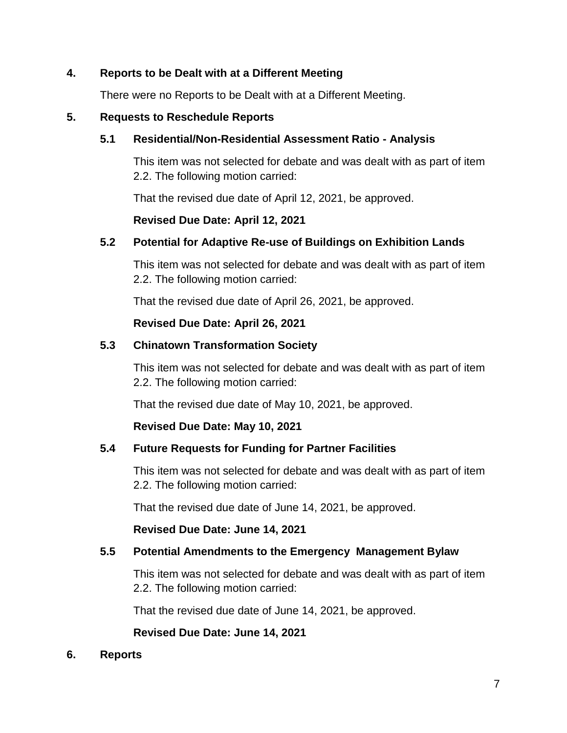### **4. Reports to be Dealt with at a Different Meeting**

There were no Reports to be Dealt with at a Different Meeting.

#### **5. Requests to Reschedule Reports**

### **5.1 Residential/Non-Residential Assessment Ratio - Analysis**

This item was not selected for debate and was dealt with as part of item 2.2. The following motion carried:

That the revised due date of April 12, 2021, be approved.

### **Revised Due Date: April 12, 2021**

### **5.2 Potential for Adaptive Re-use of Buildings on Exhibition Lands**

This item was not selected for debate and was dealt with as part of item 2.2. The following motion carried:

That the revised due date of April 26, 2021, be approved.

### **Revised Due Date: April 26, 2021**

### **5.3 Chinatown Transformation Society**

This item was not selected for debate and was dealt with as part of item 2.2. The following motion carried:

That the revised due date of May 10, 2021, be approved.

#### **Revised Due Date: May 10, 2021**

### **5.4 Future Requests for Funding for Partner Facilities**

This item was not selected for debate and was dealt with as part of item 2.2. The following motion carried:

That the revised due date of June 14, 2021, be approved.

#### **Revised Due Date: June 14, 2021**

#### **5.5 Potential Amendments to the Emergency Management Bylaw**

This item was not selected for debate and was dealt with as part of item 2.2. The following motion carried:

That the revised due date of June 14, 2021, be approved.

**Revised Due Date: June 14, 2021**

#### **6. Reports**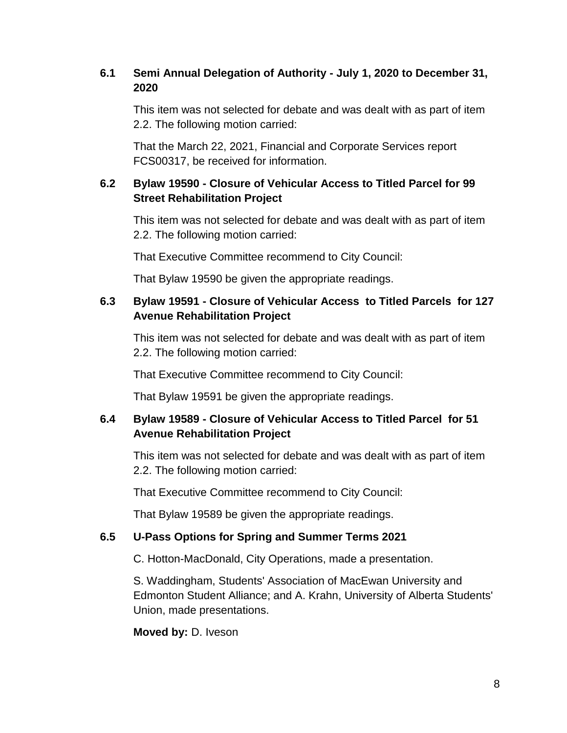# **6.1 Semi Annual Delegation of Authority - July 1, 2020 to December 31, 2020**

This item was not selected for debate and was dealt with as part of item 2.2. The following motion carried:

That the March 22, 2021, Financial and Corporate Services report FCS00317, be received for information.

## **6.2 Bylaw 19590 - Closure of Vehicular Access to Titled Parcel for 99 Street Rehabilitation Project**

This item was not selected for debate and was dealt with as part of item 2.2. The following motion carried:

That Executive Committee recommend to City Council:

That Bylaw 19590 be given the appropriate readings.

## **6.3 Bylaw 19591 - Closure of Vehicular Access to Titled Parcels for 127 Avenue Rehabilitation Project**

This item was not selected for debate and was dealt with as part of item 2.2. The following motion carried:

That Executive Committee recommend to City Council:

That Bylaw 19591 be given the appropriate readings.

## **6.4 Bylaw 19589 - Closure of Vehicular Access to Titled Parcel for 51 Avenue Rehabilitation Project**

This item was not selected for debate and was dealt with as part of item 2.2. The following motion carried:

That Executive Committee recommend to City Council:

That Bylaw 19589 be given the appropriate readings.

### **6.5 U-Pass Options for Spring and Summer Terms 2021**

C. Hotton-MacDonald, City Operations, made a presentation.

S. Waddingham, Students' Association of MacEwan University and Edmonton Student Alliance; and A. Krahn, University of Alberta Students' Union, made presentations.

#### **Moved by:** D. Iveson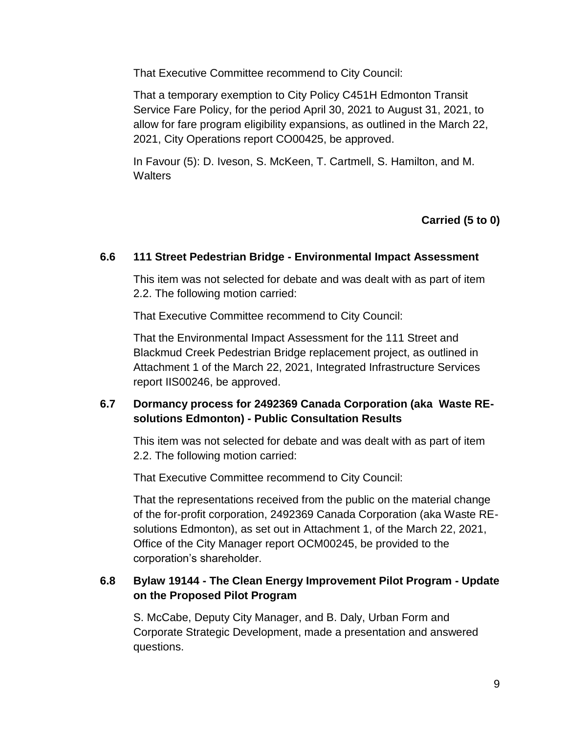That Executive Committee recommend to City Council:

That a temporary exemption to City Policy C451H Edmonton Transit Service Fare Policy, for the period April 30, 2021 to August 31, 2021, to allow for fare program eligibility expansions, as outlined in the March 22, 2021, City Operations report CO00425, be approved.

In Favour (5): D. Iveson, S. McKeen, T. Cartmell, S. Hamilton, and M. **Walters** 

**Carried (5 to 0)**

### **6.6 111 Street Pedestrian Bridge - Environmental Impact Assessment**

This item was not selected for debate and was dealt with as part of item 2.2. The following motion carried:

That Executive Committee recommend to City Council:

That the Environmental Impact Assessment for the 111 Street and Blackmud Creek Pedestrian Bridge replacement project, as outlined in Attachment 1 of the March 22, 2021, Integrated Infrastructure Services report IIS00246, be approved.

## **6.7 Dormancy process for 2492369 Canada Corporation (aka Waste REsolutions Edmonton) - Public Consultation Results**

This item was not selected for debate and was dealt with as part of item 2.2. The following motion carried:

That Executive Committee recommend to City Council:

That the representations received from the public on the material change of the for-profit corporation, 2492369 Canada Corporation (aka Waste REsolutions Edmonton), as set out in Attachment 1, of the March 22, 2021, Office of the City Manager report OCM00245, be provided to the corporation's shareholder.

## **6.8 Bylaw 19144 - The Clean Energy Improvement Pilot Program - Update on the Proposed Pilot Program**

S. McCabe, Deputy City Manager, and B. Daly, Urban Form and Corporate Strategic Development, made a presentation and answered questions.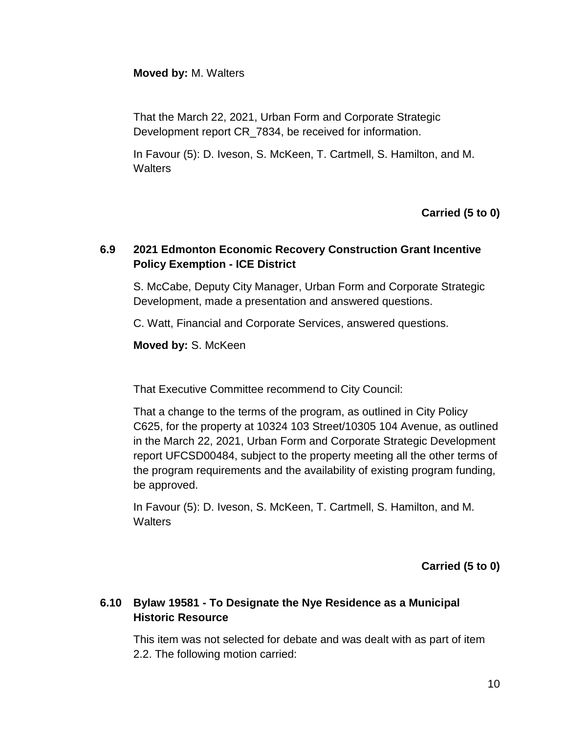### **Moved by:** M. Walters

That the March 22, 2021, Urban Form and Corporate Strategic Development report CR\_7834, be received for information.

In Favour (5): D. Iveson, S. McKeen, T. Cartmell, S. Hamilton, and M. **Walters** 

### **Carried (5 to 0)**

## **6.9 2021 Edmonton Economic Recovery Construction Grant Incentive Policy Exemption - ICE District**

S. McCabe, Deputy City Manager, Urban Form and Corporate Strategic Development, made a presentation and answered questions.

C. Watt, Financial and Corporate Services, answered questions.

**Moved by:** S. McKeen

That Executive Committee recommend to City Council:

That a change to the terms of the program, as outlined in City Policy C625, for the property at 10324 103 Street/10305 104 Avenue, as outlined in the March 22, 2021, Urban Form and Corporate Strategic Development report UFCSD00484, subject to the property meeting all the other terms of the program requirements and the availability of existing program funding, be approved.

In Favour (5): D. Iveson, S. McKeen, T. Cartmell, S. Hamilton, and M. **Walters** 

**Carried (5 to 0)**

## **6.10 Bylaw 19581 - To Designate the Nye Residence as a Municipal Historic Resource**

This item was not selected for debate and was dealt with as part of item 2.2. The following motion carried: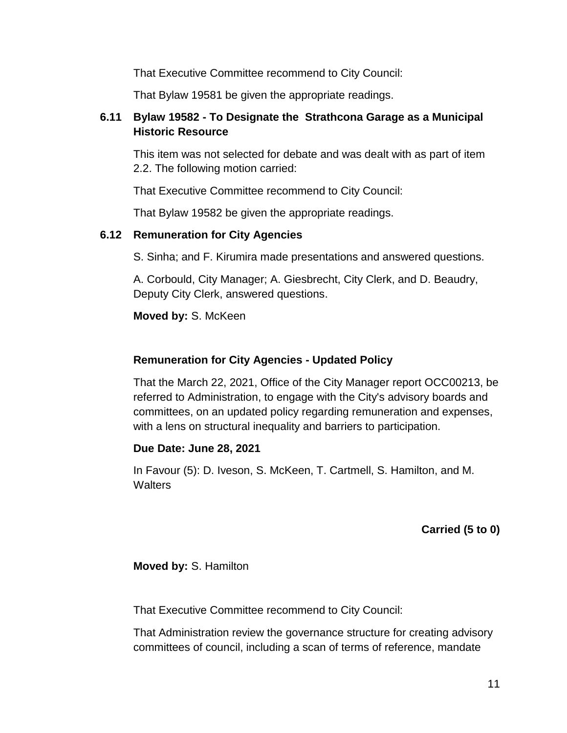That Executive Committee recommend to City Council:

That Bylaw 19581 be given the appropriate readings.

# **6.11 Bylaw 19582 - To Designate the Strathcona Garage as a Municipal Historic Resource**

This item was not selected for debate and was dealt with as part of item 2.2. The following motion carried:

That Executive Committee recommend to City Council:

That Bylaw 19582 be given the appropriate readings.

### **6.12 Remuneration for City Agencies**

S. Sinha; and F. Kirumira made presentations and answered questions.

A. Corbould, City Manager; A. Giesbrecht, City Clerk, and D. Beaudry, Deputy City Clerk, answered questions.

**Moved by:** S. McKeen

### **Remuneration for City Agencies - Updated Policy**

That the March 22, 2021, Office of the City Manager report OCC00213, be referred to Administration, to engage with the City's advisory boards and committees, on an updated policy regarding remuneration and expenses, with a lens on structural inequality and barriers to participation.

### **Due Date: June 28, 2021**

In Favour (5): D. Iveson, S. McKeen, T. Cartmell, S. Hamilton, and M. **Walters** 

**Carried (5 to 0)**

**Moved by:** S. Hamilton

That Executive Committee recommend to City Council:

That Administration review the governance structure for creating advisory committees of council, including a scan of terms of reference, mandate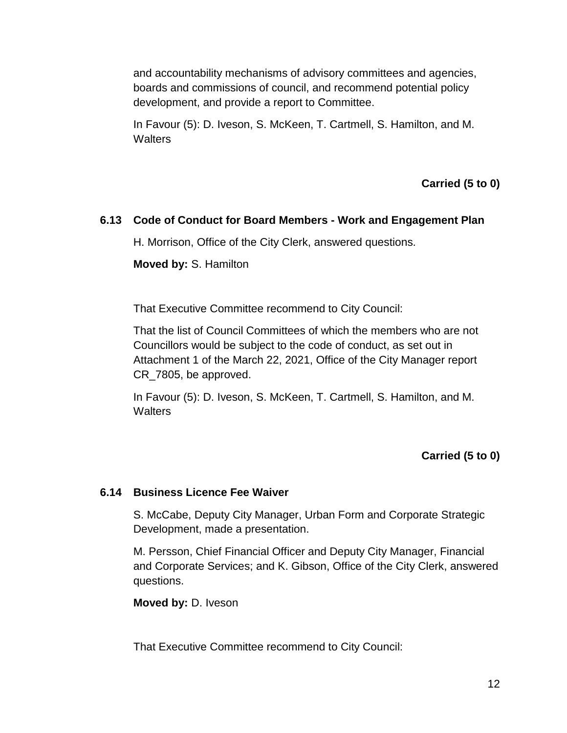and accountability mechanisms of advisory committees and agencies, boards and commissions of council, and recommend potential policy development, and provide a report to Committee.

In Favour (5): D. Iveson, S. McKeen, T. Cartmell, S. Hamilton, and M. **Walters** 

**Carried (5 to 0)**

### **6.13 Code of Conduct for Board Members - Work and Engagement Plan**

H. Morrison, Office of the City Clerk, answered questions.

**Moved by:** S. Hamilton

That Executive Committee recommend to City Council:

That the list of Council Committees of which the members who are not Councillors would be subject to the code of conduct, as set out in Attachment 1 of the March 22, 2021, Office of the City Manager report CR\_7805, be approved.

In Favour (5): D. Iveson, S. McKeen, T. Cartmell, S. Hamilton, and M. **Walters** 

### **Carried (5 to 0)**

### **6.14 Business Licence Fee Waiver**

S. McCabe, Deputy City Manager, Urban Form and Corporate Strategic Development, made a presentation.

M. Persson, Chief Financial Officer and Deputy City Manager, Financial and Corporate Services; and K. Gibson, Office of the City Clerk, answered questions.

**Moved by:** D. Iveson

That Executive Committee recommend to City Council: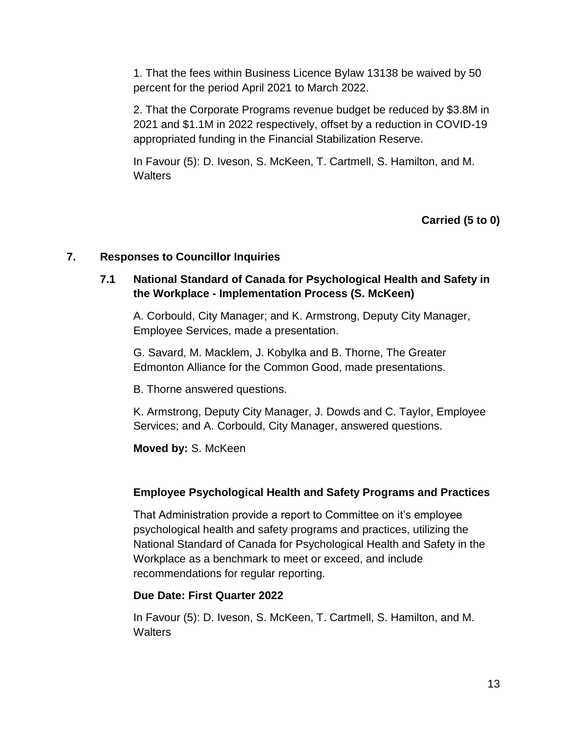1. That the fees within Business Licence Bylaw 13138 be waived by 50 percent for the period April 2021 to March 2022.

2. That the Corporate Programs revenue budget be reduced by \$3.8M in 2021 and \$1.1M in 2022 respectively, offset by a reduction in COVID-19 appropriated funding in the Financial Stabilization Reserve.

In Favour (5): D. Iveson, S. McKeen, T. Cartmell, S. Hamilton, and M. **Walters** 

**Carried (5 to 0)**

### **7. Responses to Councillor Inquiries**

### **7.1 National Standard of Canada for Psychological Health and Safety in the Workplace - Implementation Process (S. McKeen)**

A. Corbould, City Manager; and K. Armstrong, Deputy City Manager, Employee Services, made a presentation.

G. Savard, M. Macklem, J. Kobylka and B. Thorne, The Greater Edmonton Alliance for the Common Good, made presentations.

B. Thorne answered questions.

K. Armstrong, Deputy City Manager, J. Dowds and C. Taylor, Employee Services; and A. Corbould, City Manager, answered questions.

**Moved by:** S. McKeen

### **Employee Psychological Health and Safety Programs and Practices**

That Administration provide a report to Committee on it's employee psychological health and safety programs and practices, utilizing the National Standard of Canada for Psychological Health and Safety in the Workplace as a benchmark to meet or exceed, and include recommendations for regular reporting.

#### **Due Date: First Quarter 2022**

In Favour (5): D. Iveson, S. McKeen, T. Cartmell, S. Hamilton, and M. **Walters**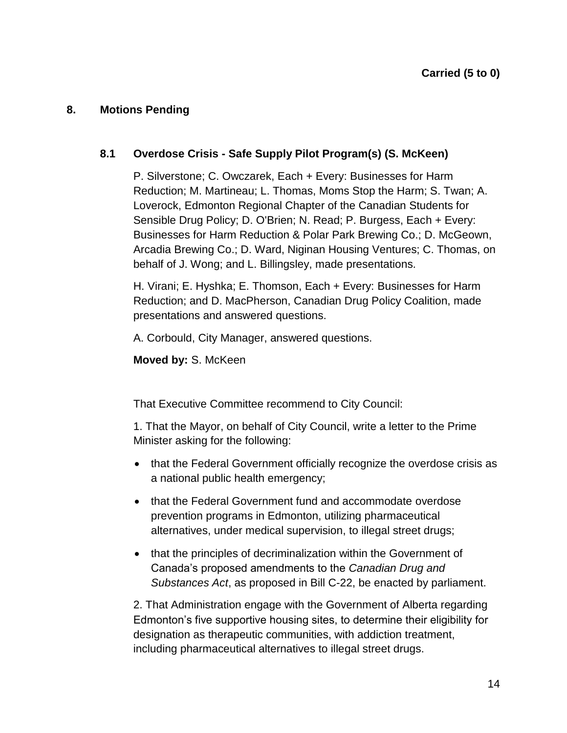### **8. Motions Pending**

### **8.1 Overdose Crisis - Safe Supply Pilot Program(s) (S. McKeen)**

P. Silverstone; C. Owczarek, Each + Every: Businesses for Harm Reduction; M. Martineau; L. Thomas, Moms Stop the Harm; S. Twan; A. Loverock, Edmonton Regional Chapter of the Canadian Students for Sensible Drug Policy; D. O'Brien; N. Read; P. Burgess, Each + Every: Businesses for Harm Reduction & Polar Park Brewing Co.; D. McGeown, Arcadia Brewing Co.; D. Ward, Niginan Housing Ventures; C. Thomas, on behalf of J. Wong; and L. Billingsley, made presentations.

H. Virani; E. Hyshka; E. Thomson, Each + Every: Businesses for Harm Reduction; and D. MacPherson, Canadian Drug Policy Coalition, made presentations and answered questions.

A. Corbould, City Manager, answered questions.

**Moved by:** S. McKeen

That Executive Committee recommend to City Council:

1. That the Mayor, on behalf of City Council, write a letter to the Prime Minister asking for the following:

- that the Federal Government officially recognize the overdose crisis as a national public health emergency;
- that the Federal Government fund and accommodate overdose prevention programs in Edmonton, utilizing pharmaceutical alternatives, under medical supervision, to illegal street drugs;
- that the principles of decriminalization within the Government of Canada's proposed amendments to the *Canadian Drug and Substances Act*, as proposed in Bill C-22, be enacted by parliament.

2. That Administration engage with the Government of Alberta regarding Edmonton's five supportive housing sites, to determine their eligibility for designation as therapeutic communities, with addiction treatment, including pharmaceutical alternatives to illegal street drugs.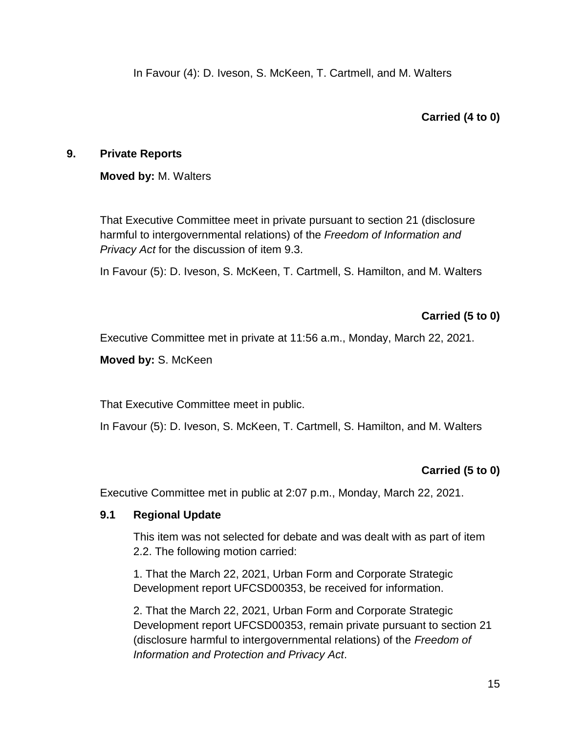### **Carried (4 to 0)**

### **9. Private Reports**

### **Moved by:** M. Walters

That Executive Committee meet in private pursuant to section 21 (disclosure harmful to intergovernmental relations) of the *Freedom of Information and Privacy Act* for the discussion of item 9.3.

In Favour (5): D. Iveson, S. McKeen, T. Cartmell, S. Hamilton, and M. Walters

## **Carried (5 to 0)**

Executive Committee met in private at 11:56 a.m., Monday, March 22, 2021.

**Moved by:** S. McKeen

That Executive Committee meet in public.

In Favour (5): D. Iveson, S. McKeen, T. Cartmell, S. Hamilton, and M. Walters

### **Carried (5 to 0)**

Executive Committee met in public at 2:07 p.m., Monday, March 22, 2021.

### **9.1 Regional Update**

This item was not selected for debate and was dealt with as part of item 2.2. The following motion carried:

1. That the March 22, 2021, Urban Form and Corporate Strategic Development report UFCSD00353, be received for information.

2. That the March 22, 2021, Urban Form and Corporate Strategic Development report UFCSD00353, remain private pursuant to section 21 (disclosure harmful to intergovernmental relations) of the *Freedom of Information and Protection and Privacy Act*.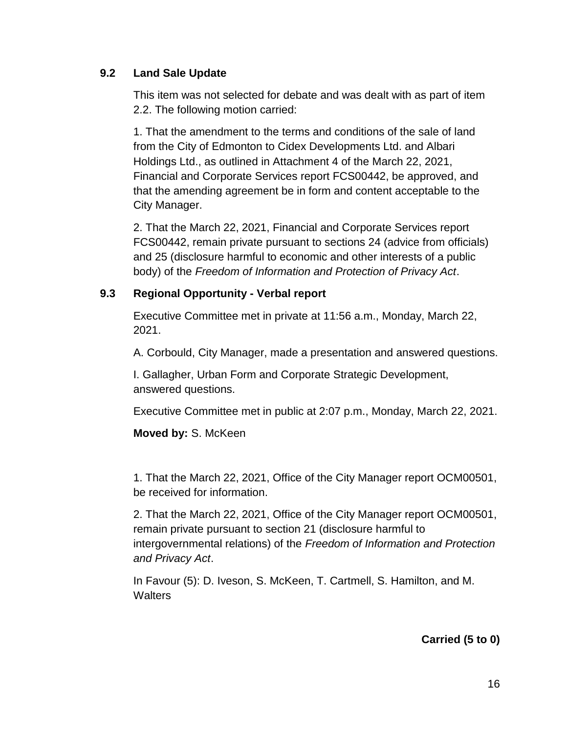### **9.2 Land Sale Update**

This item was not selected for debate and was dealt with as part of item 2.2. The following motion carried:

1. That the amendment to the terms and conditions of the sale of land from the City of Edmonton to Cidex Developments Ltd. and Albari Holdings Ltd., as outlined in Attachment 4 of the March 22, 2021, Financial and Corporate Services report FCS00442, be approved, and that the amending agreement be in form and content acceptable to the City Manager.

2. That the March 22, 2021, Financial and Corporate Services report FCS00442, remain private pursuant to sections 24 (advice from officials) and 25 (disclosure harmful to economic and other interests of a public body) of the *Freedom of Information and Protection of Privacy Act*.

### **9.3 Regional Opportunity - Verbal report**

Executive Committee met in private at 11:56 a.m., Monday, March 22, 2021.

A. Corbould, City Manager, made a presentation and answered questions.

I. Gallagher, Urban Form and Corporate Strategic Development, answered questions.

Executive Committee met in public at 2:07 p.m., Monday, March 22, 2021.

#### **Moved by:** S. McKeen

1. That the March 22, 2021, Office of the City Manager report OCM00501, be received for information.

2. That the March 22, 2021, Office of the City Manager report OCM00501, remain private pursuant to section 21 (disclosure harmful to intergovernmental relations) of the *Freedom of Information and Protection and Privacy Act*.

In Favour (5): D. Iveson, S. McKeen, T. Cartmell, S. Hamilton, and M. **Walters** 

### **Carried (5 to 0)**